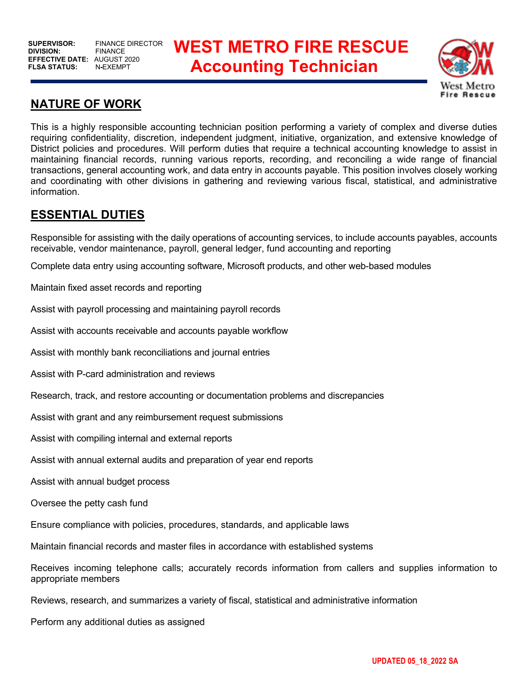# **BUPERVISOR: FINANCE DIRECTOR WEST METRO FIRE RESCUE** AUGUST 2020<br>N-EXEMPT **Accounting Technician**



# **NATURE OF WORK**

This is a highly responsible accounting technician position performing a variety of complex and diverse duties requiring confidentiality, discretion, independent judgment, initiative, organization, and extensive knowledge of District policies and procedures. Will perform duties that require a technical accounting knowledge to assist in maintaining financial records, running various reports, recording, and reconciling a wide range of financial transactions, general accounting work, and data entry in accounts payable. This position involves closely working and coordinating with other divisions in gathering and reviewing various fiscal, statistical, and administrative information.

# **ESSENTIAL DUTIES**

Responsible for assisting with the daily operations of accounting services, to include accounts payables, accounts receivable, vendor maintenance, payroll, general ledger, fund accounting and reporting

Complete data entry using accounting software, Microsoft products, and other web-based modules

Maintain fixed asset records and reporting

Assist with payroll processing and maintaining payroll records

Assist with accounts receivable and accounts payable workflow

Assist with monthly bank reconciliations and journal entries

Assist with P-card administration and reviews

Research, track, and restore accounting or documentation problems and discrepancies

Assist with grant and any reimbursement request submissions

Assist with compiling internal and external reports

Assist with annual external audits and preparation of year end reports

Assist with annual budget process

Oversee the petty cash fund

Ensure compliance with policies, procedures, standards, and applicable laws

Maintain financial records and master files in accordance with established systems

Receives incoming telephone calls; accurately records information from callers and supplies information to appropriate members

Reviews, research, and summarizes a variety of fiscal, statistical and administrative information

Perform any additional duties as assigned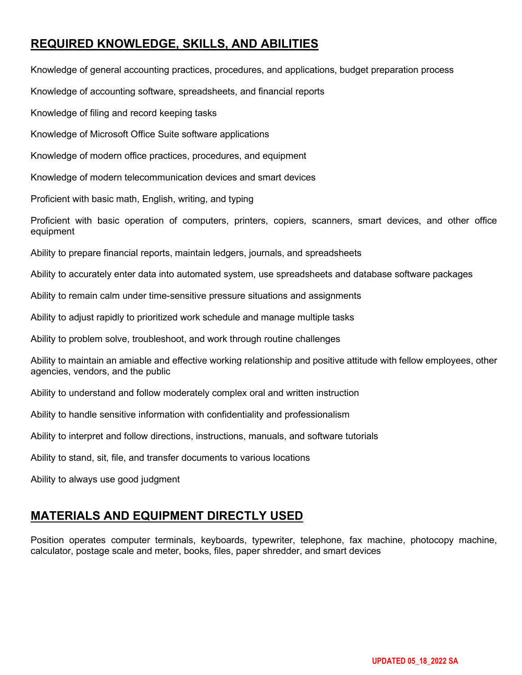# **REQUIRED KNOWLEDGE, SKILLS, AND ABILITIES**

Knowledge of general accounting practices, procedures, and applications, budget preparation process

Knowledge of accounting software, spreadsheets, and financial reports

Knowledge of filing and record keeping tasks

Knowledge of Microsoft Office Suite software applications

Knowledge of modern office practices, procedures, and equipment

Knowledge of modern telecommunication devices and smart devices

Proficient with basic math, English, writing, and typing

Proficient with basic operation of computers, printers, copiers, scanners, smart devices, and other office equipment

Ability to prepare financial reports, maintain ledgers, journals, and spreadsheets

Ability to accurately enter data into automated system, use spreadsheets and database software packages

Ability to remain calm under time-sensitive pressure situations and assignments

Ability to adjust rapidly to prioritized work schedule and manage multiple tasks

Ability to problem solve, troubleshoot, and work through routine challenges

Ability to maintain an amiable and effective working relationship and positive attitude with fellow employees, other agencies, vendors, and the public

Ability to understand and follow moderately complex oral and written instruction

Ability to handle sensitive information with confidentiality and professionalism

Ability to interpret and follow directions, instructions, manuals, and software tutorials

Ability to stand, sit, file, and transfer documents to various locations

Ability to always use good judgment

# **MATERIALS AND EQUIPMENT DIRECTLY USED**

Position operates computer terminals, keyboards, typewriter, telephone, fax machine, photocopy machine, calculator, postage scale and meter, books, files, paper shredder, and smart devices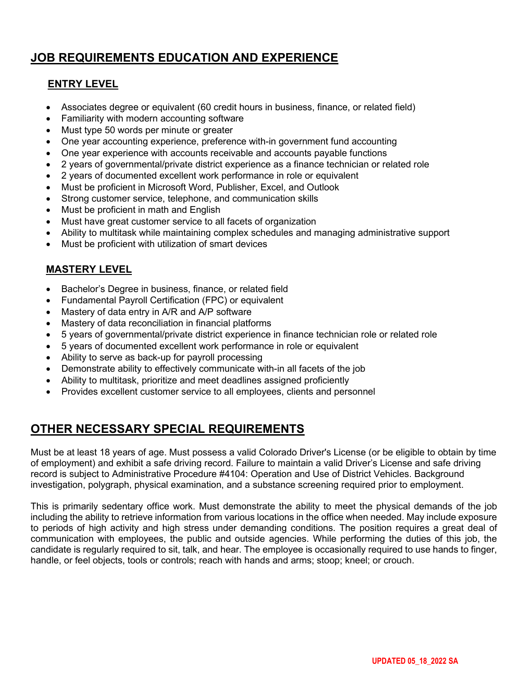# **JOB REQUIREMENTS EDUCATION AND EXPERIENCE**

#### **ENTRY LEVEL**

- Associates degree or equivalent (60 credit hours in business, finance, or related field)
- Familiarity with modern accounting software
- Must type 50 words per minute or greater
- One year accounting experience, preference with-in government fund accounting
- One year experience with accounts receivable and accounts payable functions
- 2 years of governmental/private district experience as a finance technician or related role
- 2 years of documented excellent work performance in role or equivalent
- Must be proficient in Microsoft Word, Publisher, Excel, and Outlook
- Strong customer service, telephone, and communication skills
- Must be proficient in math and English
- Must have great customer service to all facets of organization
- Ability to multitask while maintaining complex schedules and managing administrative support
- Must be proficient with utilization of smart devices

#### **MASTERY LEVEL**

- Bachelor's Degree in business, finance, or related field
- Fundamental Payroll Certification (FPC) or equivalent
- Mastery of data entry in A/R and A/P software
- Mastery of data reconciliation in financial platforms
- 5 years of governmental/private district experience in finance technician role or related role
- 5 years of documented excellent work performance in role or equivalent
- Ability to serve as back-up for payroll processing
- Demonstrate ability to effectively communicate with-in all facets of the job
- Ability to multitask, prioritize and meet deadlines assigned proficiently
- Provides excellent customer service to all employees, clients and personnel

# **OTHER NECESSARY SPECIAL REQUIREMENTS**

Must be at least 18 years of age. Must possess a valid Colorado Driver's License (or be eligible to obtain by time of employment) and exhibit a safe driving record. Failure to maintain a valid Driver's License and safe driving record is subject to Administrative Procedure #4104: Operation and Use of District Vehicles. Background investigation, polygraph, physical examination, and a substance screening required prior to employment.

This is primarily sedentary office work. Must demonstrate the ability to meet the physical demands of the job including the ability to retrieve information from various locations in the office when needed. May include exposure to periods of high activity and high stress under demanding conditions. The position requires a great deal of communication with employees, the public and outside agencies. While performing the duties of this job, the candidate is regularly required to sit, talk, and hear. The employee is occasionally required to use hands to finger, handle, or feel objects, tools or controls; reach with hands and arms; stoop; kneel; or crouch.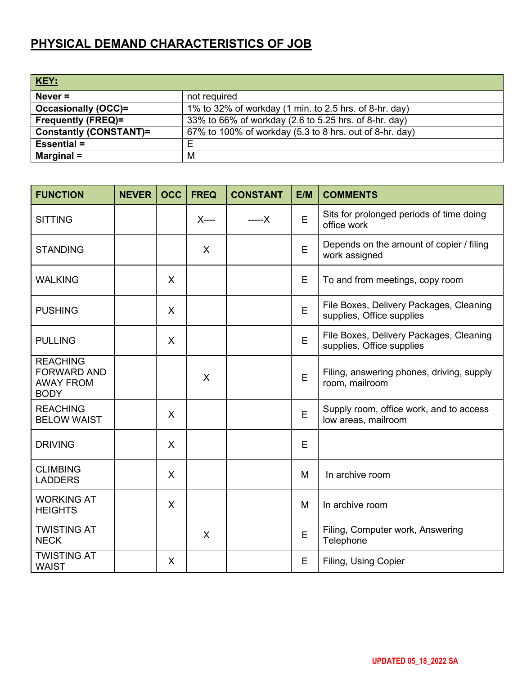# **PHYSICAL DEMAND CHARACTERISTICS OF JOB**

| <b>KEY:</b>                   |                                                         |
|-------------------------------|---------------------------------------------------------|
| Never $=$                     | not required                                            |
| <b>Occasionally (OCC)=</b>    | 1% to 32% of workday (1 min. to 2.5 hrs. of 8-hr. day)  |
| <b>Frequently (FREQ)=</b>     | 33% to 66% of workday (2.6 to 5.25 hrs. of 8-hr. day)   |
| <b>Constantly (CONSTANT)=</b> | 67% to 100% of workday (5.3 to 8 hrs. out of 8-hr. day) |
| <b>Essential =</b>            | Е                                                       |
| Marginal $=$                  | M                                                       |

| <b>FUNCTION</b>                                                          | <b>NEVER</b> | <b>OCC</b> | <b>FREQ</b> | <b>CONSTANT</b> | E/M | <b>COMMENTS</b>                                                      |
|--------------------------------------------------------------------------|--------------|------------|-------------|-----------------|-----|----------------------------------------------------------------------|
| <b>SITTING</b>                                                           |              |            | X----       | -----X          | E   | Sits for prolonged periods of time doing<br>office work              |
| <b>STANDING</b>                                                          |              |            | X           |                 | E   | Depends on the amount of copier / filing<br>work assigned            |
| <b>WALKING</b>                                                           |              | X          |             |                 | E   | To and from meetings, copy room                                      |
| <b>PUSHING</b>                                                           |              | X          |             |                 | E   | File Boxes, Delivery Packages, Cleaning<br>supplies, Office supplies |
| <b>PULLING</b>                                                           |              | X          |             |                 | E   | File Boxes, Delivery Packages, Cleaning<br>supplies, Office supplies |
| <b>REACHING</b><br><b>FORWARD AND</b><br><b>AWAY FROM</b><br><b>BODY</b> |              |            | X           |                 | E   | Filing, answering phones, driving, supply<br>room, mailroom          |
| <b>REACHING</b><br><b>BELOW WAIST</b>                                    |              | X          |             |                 | E   | Supply room, office work, and to access<br>low areas, mailroom       |
| <b>DRIVING</b>                                                           |              | X          |             |                 | Е   |                                                                      |
| <b>CLIMBING</b><br><b>LADDERS</b>                                        |              | X          |             |                 | M   | In archive room                                                      |
| <b>WORKING AT</b><br><b>HEIGHTS</b>                                      |              | X          |             |                 | M   | In archive room                                                      |
| <b>TWISTING AT</b><br><b>NECK</b>                                        |              |            | $\times$    |                 | E   | Filing, Computer work, Answering<br>Telephone                        |
| <b>TWISTING AT</b><br><b>WAIST</b>                                       |              | X          |             |                 | E   | Filing, Using Copier                                                 |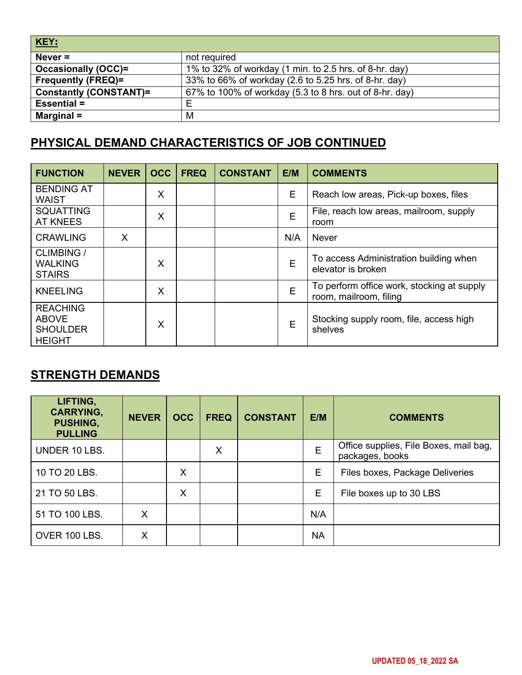| KEY:                          |                                                         |
|-------------------------------|---------------------------------------------------------|
| Never $=$                     | not required                                            |
| <b>Occasionally (OCC)=</b>    | 1% to 32% of workday (1 min. to 2.5 hrs. of 8-hr. day)  |
| <b>Frequently (FREQ)=</b>     | 33% to 66% of workday (2.6 to 5.25 hrs. of 8-hr. day)   |
| <b>Constantly (CONSTANT)=</b> | 67% to 100% of workday (5.3 to 8 hrs. out of 8-hr. day) |
| <b>Essential =</b>            | Е                                                       |
| Marginal $=$                  | М                                                       |

# **PHYSICAL DEMAND CHARACTERISTICS OF JOB CONTINUED**

| <b>FUNCTION</b>                                                     | <b>NEVER</b> | <b>OCC</b> | <b>FREQ</b> | <b>CONSTANT</b> | E/M | <b>COMMENTS</b>                                                      |
|---------------------------------------------------------------------|--------------|------------|-------------|-----------------|-----|----------------------------------------------------------------------|
| <b>BENDING AT</b><br><b>WAIST</b>                                   |              | X          |             |                 | Е   | Reach low areas, Pick-up boxes, files                                |
| <b>SQUATTING</b><br><b>AT KNEES</b>                                 |              | X          |             |                 | E   | File, reach low areas, mailroom, supply<br>room                      |
| <b>CRAWLING</b>                                                     | X            |            |             |                 | N/A | <b>Never</b>                                                         |
| <b>CLIMBING /</b><br><b>WALKING</b><br><b>STAIRS</b>                |              | X          |             |                 | E   | To access Administration building when<br>elevator is broken         |
| <b>KNEELING</b>                                                     |              | X          |             |                 | E   | To perform office work, stocking at supply<br>room, mailroom, filing |
| <b>REACHING</b><br><b>ABOVE</b><br><b>SHOULDER</b><br><b>HEIGHT</b> |              | X          |             |                 | E   | Stocking supply room, file, access high<br>shelves                   |

# **STRENGTH DEMANDS**

| LIFTING,<br><b>CARRYING,</b><br><b>PUSHING,</b><br><b>PULLING</b> | <b>NEVER</b> | <b>OCC</b> | <b>FREQ</b> | <b>CONSTANT</b> | E/M       | <b>COMMENTS</b>                                           |
|-------------------------------------------------------------------|--------------|------------|-------------|-----------------|-----------|-----------------------------------------------------------|
| UNDER 10 LBS.                                                     |              |            | X           |                 | E         | Office supplies, File Boxes, mail bag,<br>packages, books |
| 10 TO 20 LBS.                                                     |              | X          |             |                 | E         | Files boxes, Package Deliveries                           |
| 21 TO 50 LBS.                                                     |              | X          |             |                 | Е         | File boxes up to 30 LBS                                   |
| 51 TO 100 LBS.                                                    | X            |            |             |                 | N/A       |                                                           |
| OVER 100 LBS.                                                     | X            |            |             |                 | <b>NA</b> |                                                           |